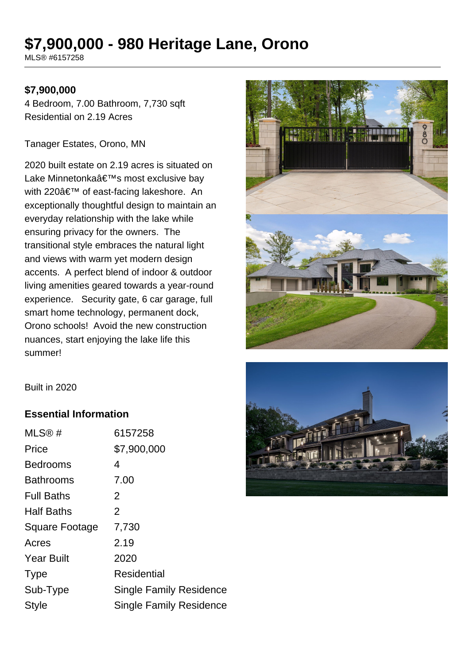## **\$7,900,000 - 980 Heritage Lane, Orono**

MLS® #6157258

## **\$7,900,000**

4 Bedroom, 7.00 Bathroom, 7,730 sqft Residential on 2.19 Acres

Tanager Estates, Orono, MN

2020 built estate on 2.19 acres is situated on Lake Minnetonka's most exclusive bay with 220' of east-facing lakeshore. An exceptionally thoughtful design to maintain an everyday relationship with the lake while ensuring privacy for the owners. The transitional style embraces the natural light and views with warm yet modern design accents. A perfect blend of indoor & outdoor living amenities geared towards a year-round experience. Security gate, 6 car garage, full smart home technology, permanent dock, Orono schools! Avoid the new construction nuances, start enjoying the lake life this summer!



Built in 2020

## **Essential Information**

| MLS@#             | 6157258                        |
|-------------------|--------------------------------|
| Price             | \$7,900,000                    |
| <b>Bedrooms</b>   | 4                              |
| <b>Bathrooms</b>  | 7.00                           |
| <b>Full Baths</b> | 2                              |
| <b>Half Baths</b> | 2                              |
| Square Footage    | 7,730                          |
| Acres             | 2.19                           |
| <b>Year Built</b> | 2020                           |
| <b>Type</b>       | Residential                    |
| Sub-Type          | <b>Single Family Residence</b> |
| <b>Style</b>      | <b>Single Family Residence</b> |
|                   |                                |

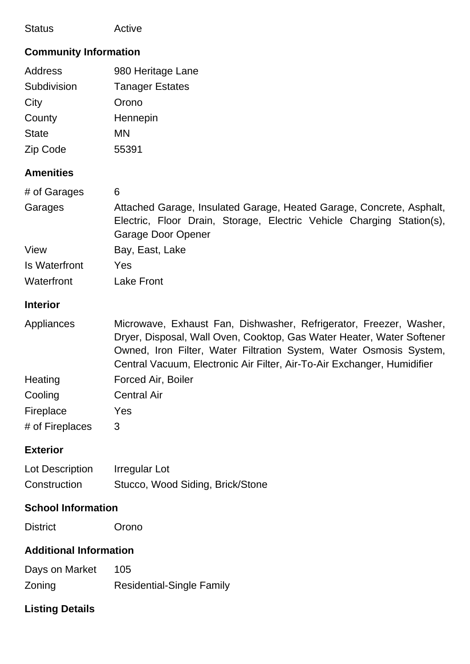| <b>Status</b>                                                                                                              | Active                                                                                                                                                                                                                                                                                                                                               |  |
|----------------------------------------------------------------------------------------------------------------------------|------------------------------------------------------------------------------------------------------------------------------------------------------------------------------------------------------------------------------------------------------------------------------------------------------------------------------------------------------|--|
| <b>Community Information</b>                                                                                               |                                                                                                                                                                                                                                                                                                                                                      |  |
| <b>Address</b><br>Subdivision<br>City<br>County<br><b>State</b><br>Zip Code<br><b>Amenities</b><br># of Garages<br>Garages | 980 Heritage Lane<br><b>Tanager Estates</b><br>Orono<br>Hennepin<br><b>MN</b><br>55391<br>6<br>Attached Garage, Insulated Garage, Heated Garage, Concrete, Asphalt,<br>Electric, Floor Drain, Storage, Electric Vehicle Charging Station(s),                                                                                                         |  |
| View<br><b>Is Waterfront</b><br>Waterfront                                                                                 | <b>Garage Door Opener</b><br>Bay, East, Lake<br>Yes<br><b>Lake Front</b>                                                                                                                                                                                                                                                                             |  |
| <b>Interior</b>                                                                                                            |                                                                                                                                                                                                                                                                                                                                                      |  |
| Appliances<br>Heating<br>Cooling<br>Fireplace<br># of Fireplaces                                                           | Microwave, Exhaust Fan, Dishwasher, Refrigerator, Freezer, Washer,<br>Dryer, Disposal, Wall Oven, Cooktop, Gas Water Heater, Water Softener<br>Owned, Iron Filter, Water Filtration System, Water Osmosis System,<br>Central Vacuum, Electronic Air Filter, Air-To-Air Exchanger, Humidifier<br>Forced Air, Boiler<br><b>Central Air</b><br>Yes<br>3 |  |
| <b>Exterior</b>                                                                                                            |                                                                                                                                                                                                                                                                                                                                                      |  |
| Lot Description<br>Construction                                                                                            | Irregular Lot<br>Stucco, Wood Siding, Brick/Stone                                                                                                                                                                                                                                                                                                    |  |
| <b>School Information</b>                                                                                                  |                                                                                                                                                                                                                                                                                                                                                      |  |
| <b>District</b>                                                                                                            | Orono                                                                                                                                                                                                                                                                                                                                                |  |
| <b>Additional Information</b>                                                                                              |                                                                                                                                                                                                                                                                                                                                                      |  |
| Days on Market<br>Zoning                                                                                                   | 105<br><b>Residential-Single Family</b>                                                                                                                                                                                                                                                                                                              |  |
| <b>Listing Details</b>                                                                                                     |                                                                                                                                                                                                                                                                                                                                                      |  |